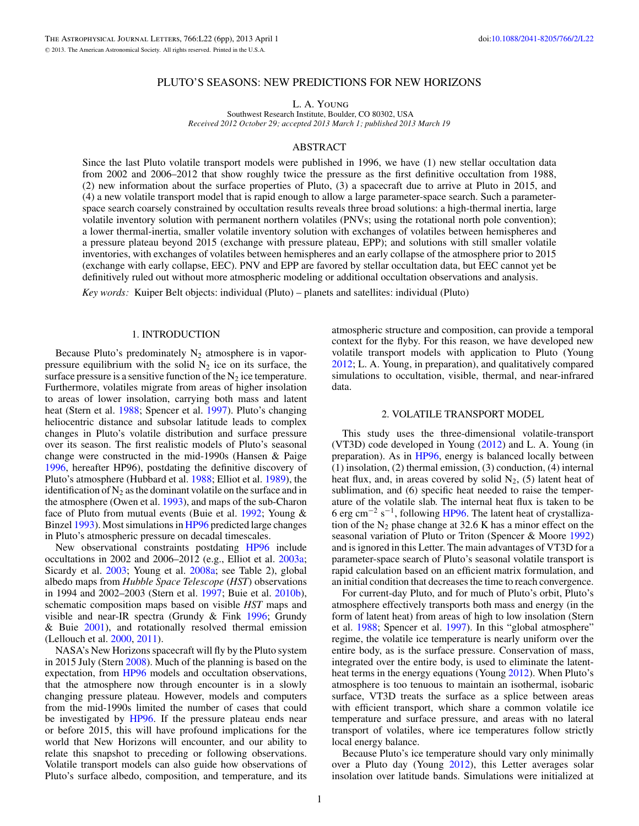## PLUTO'S SEASONS: NEW PREDICTIONS FOR NEW HORIZONS

L. A. Young

Southwest Research Institute, Boulder, CO 80302, USA *Received 2012 October 29; accepted 2013 March 1; published 2013 March 19*

# ABSTRACT

Since the last Pluto volatile transport models were published in 1996, we have (1) new stellar occultation data from 2002 and 2006–2012 that show roughly twice the pressure as the first definitive occultation from 1988, (2) new information about the surface properties of Pluto, (3) a spacecraft due to arrive at Pluto in 2015, and (4) a new volatile transport model that is rapid enough to allow a large parameter-space search. Such a parameterspace search coarsely constrained by occultation results reveals three broad solutions: a high-thermal inertia, large volatile inventory solution with permanent northern volatiles (PNVs; using the rotational north pole convention); a lower thermal-inertia, smaller volatile inventory solution with exchanges of volatiles between hemispheres and a pressure plateau beyond 2015 (exchange with pressure plateau, EPP); and solutions with still smaller volatile inventories, with exchanges of volatiles between hemispheres and an early collapse of the atmosphere prior to 2015 (exchange with early collapse, EEC). PNV and EPP are favored by stellar occultation data, but EEC cannot yet be definitively ruled out without more atmospheric modeling or additional occultation observations and analysis.

*Key words:* Kuiper Belt objects: individual (Pluto) – planets and satellites: individual (Pluto)

# 1. INTRODUCTION

Because Pluto's predominately  $N_2$  atmosphere is in vaporpressure equilibrium with the solid  $N_2$  ice on its surface, the surface pressure is a sensitive function of the  $N_2$  ice temperature. Furthermore, volatiles migrate from areas of higher insolation to areas of lower insolation, carrying both mass and latent heat (Stern et al. [1988;](#page-5-0) Spencer et al. [1997\)](#page-5-0). Pluto's changing heliocentric distance and subsolar latitude leads to complex changes in Pluto's volatile distribution and surface pressure over its season. The first realistic models of Pluto's seasonal change were constructed in the mid-1990s (Hansen & Paige [1996,](#page-5-0) hereafter HP96), postdating the definitive discovery of Pluto's atmosphere (Hubbard et al. [1988;](#page-5-0) Elliot et al. [1989\)](#page-5-0), the identification of  $N_2$  as the dominant volatile on the surface and in the atmosphere (Owen et al. [1993\)](#page-5-0), and maps of the sub-Charon face of Pluto from mutual events (Buie et al. [1992;](#page-5-0) Young & Binzel [1993\)](#page-5-0). Most simulations in [HP96](#page-5-0) predicted large changes in Pluto's atmospheric pressure on decadal timescales.

New observational constraints postdating [HP96](#page-5-0) include occultations in 2002 and 2006–2012 (e.g., Elliot et al. [2003a;](#page-5-0) Sicardy et al. [2003;](#page-5-0) Young et al. [2008a;](#page-5-0) see Table 2), global albedo maps from *Hubble Space Telescope* (*HST*) observations in 1994 and 2002–2003 (Stern et al. [1997;](#page-5-0) Buie et al. [2010b\)](#page-5-0), schematic composition maps based on visible *HST* maps and visible and near-IR spectra (Grundy & Fink [1996;](#page-5-0) Grundy & Buie [2001\)](#page-5-0), and rotationally resolved thermal emission (Lellouch et al. [2000,](#page-5-0) [2011\)](#page-5-0).

NASA's New Horizons spacecraft will fly by the Pluto system in 2015 July (Stern [2008\)](#page-5-0). Much of the planning is based on the expectation, from [HP96](#page-5-0) models and occultation observations, that the atmosphere now through encounter is in a slowly changing pressure plateau. However, models and computers from the mid-1990s limited the number of cases that could be investigated by [HP96.](#page-5-0) If the pressure plateau ends near or before 2015, this will have profound implications for the world that New Horizons will encounter, and our ability to relate this snapshot to preceding or following observations. Volatile transport models can also guide how observations of Pluto's surface albedo, composition, and temperature, and its

atmospheric structure and composition, can provide a temporal context for the flyby. For this reason, we have developed new volatile transport models with application to Pluto (Young [2012;](#page-5-0) L. A. Young, in preparation), and qualitatively compared simulations to occultation, visible, thermal, and near-infrared data.

### 2. VOLATILE TRANSPORT MODEL

This study uses the three-dimensional volatile-transport (VT3D) code developed in Young [\(2012\)](#page-5-0) and L. A. Young (in preparation). As in [HP96,](#page-5-0) energy is balanced locally between (1) insolation, (2) thermal emission, (3) conduction, (4) internal heat flux, and, in areas covered by solid  $N_2$ , (5) latent heat of sublimation, and (6) specific heat needed to raise the temperature of the volatile slab. The internal heat flux is taken to be 6 erg cm<sup>-2</sup> s<sup>-1</sup>, following [HP96.](#page-5-0) The latent heat of crystallization of the  $N_2$  phase change at 32.6 K has a minor effect on the seasonal variation of Pluto or Triton (Spencer & Moore [1992\)](#page-5-0) and is ignored in this Letter. The main advantages of VT3D for a parameter-space search of Pluto's seasonal volatile transport is rapid calculation based on an efficient matrix formulation, and an initial condition that decreases the time to reach convergence.

For current-day Pluto, and for much of Pluto's orbit, Pluto's atmosphere effectively transports both mass and energy (in the form of latent heat) from areas of high to low insolation (Stern et al. [1988;](#page-5-0) Spencer et al. [1997\)](#page-5-0). In this "global atmosphere" regime, the volatile ice temperature is nearly uniform over the entire body, as is the surface pressure. Conservation of mass, integrated over the entire body, is used to eliminate the latent-heat terms in the energy equations (Young [2012\)](#page-5-0). When Pluto's atmosphere is too tenuous to maintain an isothermal, isobaric surface, VT3D treats the surface as a splice between areas with efficient transport, which share a common volatile ice temperature and surface pressure, and areas with no lateral transport of volatiles, where ice temperatures follow strictly local energy balance.

Because Pluto's ice temperature should vary only minimally over a Pluto day (Young [2012\)](#page-5-0), this Letter averages solar insolation over latitude bands. Simulations were initialized at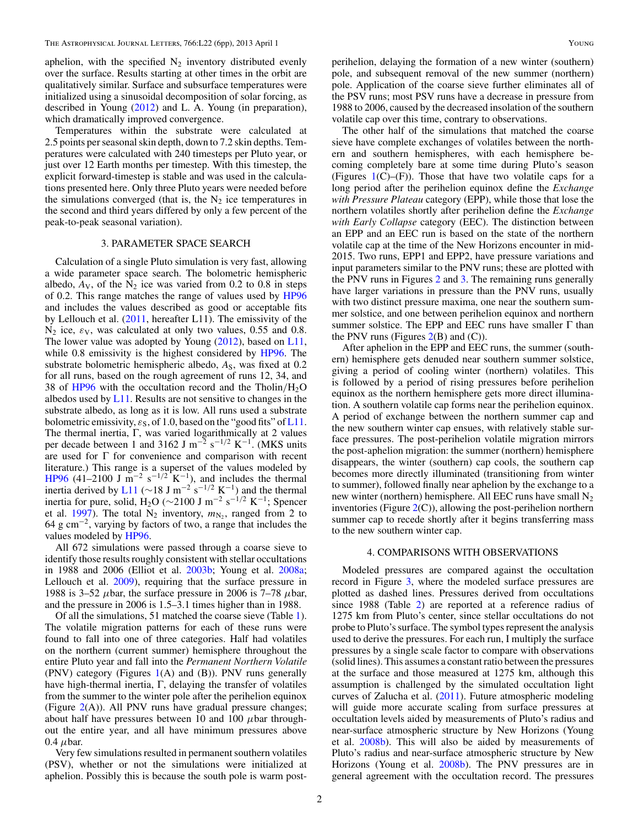<span id="page-1-0"></span>aphelion, with the specified  $N_2$  inventory distributed evenly over the surface. Results starting at other times in the orbit are qualitatively similar. Surface and subsurface temperatures were initialized using a sinusoidal decomposition of solar forcing, as described in Young [\(2012\)](#page-5-0) and L. A. Young (in preparation), which dramatically improved convergence.

Temperatures within the substrate were calculated at 2.5 points per seasonal skin depth, down to 7.2 skin depths. Temperatures were calculated with 240 timesteps per Pluto year, or just over 12 Earth months per timestep. With this timestep, the explicit forward-timestep is stable and was used in the calculations presented here. Only three Pluto years were needed before the simulations converged (that is, the  $N_2$  ice temperatures in the second and third years differed by only a few percent of the peak-to-peak seasonal variation).

## 3. PARAMETER SPACE SEARCH

Calculation of a single Pluto simulation is very fast, allowing a wide parameter space search. The bolometric hemispheric albedo,  $A_V$ , of the  $N_2$  ice was varied from 0.2 to 0.8 in steps of 0.2. This range matches the range of values used by [HP96](#page-5-0) and includes the values described as good or acceptable fits by Lellouch et al. [\(2011,](#page-5-0) hereafter L11). The emissivity of the  $N_2$  ice,  $\varepsilon_V$ , was calculated at only two values, 0.55 and 0.8. The lower value was adopted by Young [\(2012\)](#page-5-0), based on [L11,](#page-5-0) while 0.8 emissivity is the highest considered by [HP96.](#page-5-0) The substrate bolometric hemispheric albedo,  $A<sub>S</sub>$ , was fixed at 0.2 for all runs, based on the rough agreement of runs 12, 34, and 38 of [HP96](#page-5-0) with the occultation record and the Tholin*/*H2O albedos used by  $L11$ . Results are not sensitive to changes in the substrate albedo, as long as it is low. All runs used a substrate bolometric emissivity,  $\varepsilon_{S}$ , of 1.0, based on the "good fits" of [L11.](#page-5-0) The thermal inertia, Γ, was varied logarithmically at 2 values per decade between 1 and 3162 J m−<sup>2</sup> s−1*/*<sup>2</sup> K−1. (MKS units are used for Γ for convenience and comparison with recent literature.) This range is a superset of the values modeled by [HP96](#page-5-0) (41–2100 J m<sup>-2</sup> s<sup>-1/2</sup> K<sup>-1</sup>), and includes the thermal inertia derived by [L11](#page-5-0) (∼18 J m<sup>-2</sup> s<sup>-1/2</sup> K<sup>-1</sup>) and the thermal inertia for pure, solid, H<sub>2</sub>O (∼2100 J m<sup>-2</sup> s<sup>-1/2</sup> K<sup>-1</sup>; Spencer et al. [1997\)](#page-5-0). The total  $N_2$  inventory,  $m_{N_2}$ , ranged from 2 to  $64 \text{ g cm}^{-2}$ , varying by factors of two, a range that includes the values modeled by [HP96.](#page-5-0)

All 672 simulations were passed through a coarse sieve to identify those results roughly consistent with stellar occultations in 1988 and 2006 (Elliot et al. [2003b;](#page-5-0) Young et al. [2008a;](#page-5-0) Lellouch et al. [2009\)](#page-5-0), requiring that the surface pressure in 1988 is 3–52  $\mu$ bar, the surface pressure in 2006 is 7–78  $\mu$ bar, and the pressure in 2006 is 1.5–3.1 times higher than in 1988.

Of all the simulations, 51 matched the coarse sieve (Table [1\)](#page-2-0). The volatile migration patterns for each of these runs were found to fall into one of three categories. Half had volatiles on the northern (current summer) hemisphere throughout the entire Pluto year and fall into the *Permanent Northern Volatile* (PNV) category (Figures  $1(A)$  $1(A)$  and (B)). PNV runs generally have high-thermal inertia, Γ, delaying the transfer of volatiles from the summer to the winter pole after the perihelion equinox (Figure  $2(A)$  $2(A)$ ). All PNV runs have gradual pressure changes; about half have pressures between 10 and 100 *μ*bar throughout the entire year, and all have minimum pressures above 0.4  $\mu$ bar.

Very few simulations resulted in permanent southern volatiles (PSV), whether or not the simulations were initialized at aphelion. Possibly this is because the south pole is warm post-

perihelion, delaying the formation of a new winter (southern) pole, and subsequent removal of the new summer (northern) pole. Application of the coarse sieve further eliminates all of the PSV runs; most PSV runs have a decrease in pressure from 1988 to 2006, caused by the decreased insolation of the southern volatile cap over this time, contrary to observations.

The other half of the simulations that matched the coarse sieve have complete exchanges of volatiles between the northern and southern hemispheres, with each hemisphere becoming completely bare at some time during Pluto's season (Figures  $1(C)$  $1(C)$ –(F)). Those that have two volatile caps for a long period after the perihelion equinox define the *Exchange with Pressure Plateau* category (EPP), while those that lose the northern volatiles shortly after perihelion define the *Exchange with Early Collapse* category (EEC). The distinction between an EPP and an EEC run is based on the state of the northern volatile cap at the time of the New Horizons encounter in mid-2015. Two runs, EPP1 and EPP2, have pressure variations and input parameters similar to the PNV runs; these are plotted with the PNV runs in Figures [2](#page-3-0) and [3.](#page-4-0) The remaining runs generally have larger variations in pressure than the PNV runs, usually with two distinct pressure maxima, one near the southern summer solstice, and one between perihelion equinox and northern summer solstice. The EPP and EEC runs have smaller Γ than the PNV runs (Figures  $2(B)$  $2(B)$  and  $(C)$ ).

After aphelion in the EPP and EEC runs, the summer (southern) hemisphere gets denuded near southern summer solstice, giving a period of cooling winter (northern) volatiles. This is followed by a period of rising pressures before perihelion equinox as the northern hemisphere gets more direct illumination. A southern volatile cap forms near the perihelion equinox. A period of exchange between the northern summer cap and the new southern winter cap ensues, with relatively stable surface pressures. The post-perihelion volatile migration mirrors the post-aphelion migration: the summer (northern) hemisphere disappears, the winter (southern) cap cools, the southern cap becomes more directly illuminated (transitioning from winter to summer), followed finally near aphelion by the exchange to a new winter (northern) hemisphere. All EEC runs have small  $N_2$ inventories (Figure  $2(C)$  $2(C)$ ), allowing the post-perihelion northern summer cap to recede shortly after it begins transferring mass to the new southern winter cap.

#### 4. COMPARISONS WITH OBSERVATIONS

Modeled pressures are compared against the occultation record in Figure [3,](#page-4-0) where the modeled surface pressures are plotted as dashed lines. Pressures derived from occultations since 1988 (Table [2\)](#page-4-0) are reported at a reference radius of 1275 km from Pluto's center, since stellar occultations do not probe to Pluto's surface. The symbol types represent the analysis used to derive the pressures. For each run, I multiply the surface pressures by a single scale factor to compare with observations (solid lines). This assumes a constant ratio between the pressures at the surface and those measured at 1275 km, although this assumption is challenged by the simulated occultation light curves of Zalucha et al. [\(2011\)](#page-5-0). Future atmospheric modeling will guide more accurate scaling from surface pressures at occultation levels aided by measurements of Pluto's radius and near-surface atmospheric structure by New Horizons (Young et al. [2008b\)](#page-5-0). This will also be aided by measurements of Pluto's radius and near-surface atmospheric structure by New Horizons (Young et al. [2008b\)](#page-5-0). The PNV pressures are in general agreement with the occultation record. The pressures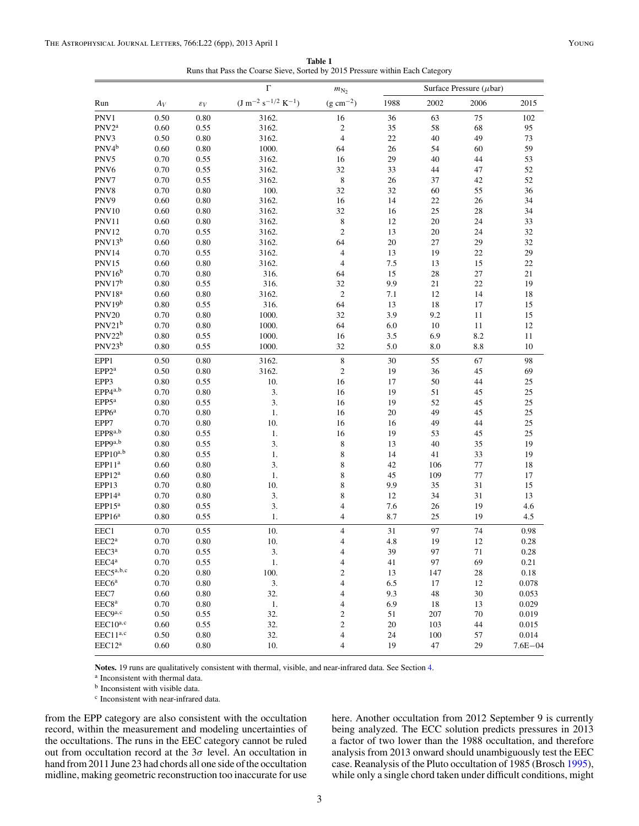**Table 1** Runs that Pass the Coarse Sieve, Sorted by 2015 Pressure within Each Category

<span id="page-2-0"></span>

| Run                           | $A_V$    | $\varepsilon_V$ | Г<br>$(J m^{-2} s^{-1/2} K^{-1})$ | $m_{\rm N_2}$<br>$(g cm^{-2})$ | Surface Pressure ( $\mu$ bar) |      |      |             |
|-------------------------------|----------|-----------------|-----------------------------------|--------------------------------|-------------------------------|------|------|-------------|
|                               |          |                 |                                   |                                | 1988                          | 2002 | 2006 | 2015        |
| PNV1                          | 0.50     | 0.80            | 3162.                             | 16                             | 36                            | 63   | 75   | 102         |
| $PNV2^a$                      | 0.60     | 0.55            | 3162.                             | 2                              | 35                            | 58   | 68   | 95          |
| PNV3                          | 0.50     | 0.80            | 3162.                             | $\overline{4}$                 | 22                            | 40   | 49   | 73          |
| PNV4 <sup>b</sup>             | 0.60     | 0.80            | 1000.                             | 64                             | 26                            | 54   | 60   | 59          |
| PNV5                          | 0.70     | 0.55            | 3162.                             | 16                             | 29                            | 40   | 44   | 53          |
| PNV <sub>6</sub>              | 0.70     | 0.55            | 3162.                             | 32                             | 33                            | 44   | 47   | 52          |
| PNV7                          | 0.70     | 0.55            | 3162.                             | 8                              | 26                            | 37   | 42   | 52          |
| PNV8                          | 0.70     | 0.80            | 100.                              | 32                             | 32                            | 60   | 55   | 36          |
| PNV9                          | 0.60     | 0.80            | 3162.                             | 16                             | 14                            | 22   | 26   | 34          |
| <b>PNV10</b>                  | 0.60     | 0.80            | 3162.                             | 32                             | 16                            | 25   | 28   | 34          |
| <b>PNV11</b>                  | 0.60     | 0.80            | 3162.                             | 8                              | 12                            | 20   | 24   | 33          |
| <b>PNV12</b>                  | 0.70     | 0.55            | 3162.                             | $\overline{c}$                 | 13                            | 20   | 24   | 32          |
| PNV13 <sup>b</sup>            | 0.60     | 0.80            | 3162.                             | 64                             | 20                            | 27   | 29   | 32          |
| <b>PNV14</b>                  | 0.70     | 0.55            | 3162.                             | 4                              | 13                            | 19   | 22   | 29          |
| <b>PNV15</b>                  | 0.60     | 0.80            | 3162.                             | $\overline{4}$                 | 7.5                           | 13   | 15   | 22          |
| $\mathrm{PNV16}^{\mathrm{b}}$ | 0.70     | 0.80            | 316.                              | 64                             | 15                            | 28   | 27   | 21          |
| $\rm PNV17^b$                 | $0.80\,$ | 0.55            | 316.                              | 32                             | 9.9                           | 21   | 22   | 19          |
| $PNV18^a$                     | 0.60     | 0.80            | 3162.                             | $\overline{c}$                 | 7.1                           | 12   | 14   | 18          |
| PNV19 <sup>b</sup>            | 0.80     | 0.55            | 316.                              | 64                             | 13                            | 18   | 17   | 15          |
| <b>PNV20</b>                  | 0.70     | 0.80            | 1000.                             | 32                             | 3.9                           | 9.2  | 11   | 15          |
| PNV21b                        | 0.70     | 0.80            | 1000.                             | 64                             | 6.0                           | 10   | 11   | 12          |
| $PNV22^b$                     | 0.80     | 0.55            | 1000.                             | 16                             | 3.5                           | 6.9  | 8.2  | 11          |
| $PNV23^b$                     | 0.80     | 0.55            | 1000.                             | 32                             | 5.0                           | 8.0  | 8.8  | 10          |
| EPP1                          | 0.50     | 0.80            | 3162.                             | 8                              | 30                            | 55   | 67   | 98          |
| EPP2 <sup>a</sup>             | 0.50     | 0.80            | 3162.                             | $\overline{c}$                 | 19                            | 36   | 45   | 69          |
| EPP3                          | 0.80     | 0.55            | 10.                               | 16                             | 17                            | 50   | 44   | 25          |
| $EPP4^{a,b}$                  | 0.70     | 0.80            | 3.                                | 16                             | 19                            | 51   | 45   | 25          |
| EPP5 <sup>a</sup>             | $0.80\,$ | 0.55            | 3.                                | 16                             | 19                            | 52   | 45   | 25          |
| EPP6 <sup>a</sup>             | 0.70     | 0.80            | 1.                                | 16                             | 20                            | 49   | 45   | 25          |
| EPP7                          | 0.70     | 0.80            | 10.                               | 16                             | 16                            | 49   | 44   | 25          |
| $EPP8^{a,b}$                  | 0.80     | 0.55            | 1.                                | 16                             | 19                            | 53   | 45   | 25          |
| $EPP9^{a,b}$                  | 0.80     | 0.55            | 3.                                | 8                              | 13                            | 40   | 35   | 19          |
| $EPP10^{a,b}$                 | 0.80     | 0.55            | 1.                                | 8                              | 14                            | 41   | 33   | 19          |
| EPP11 <sup>a</sup>            | 0.60     | 0.80            | 3.                                | 8                              | 42                            | 106  | 77   | 18          |
| EPP12 <sup>a</sup>            | 0.60     | 0.80            | 1.                                | 8                              | 45                            | 109  | 77   | 17          |
| EPP13                         | 0.70     | 0.80            | 10.                               | 8                              | 9.9                           | 35   | 31   | 15          |
| EPP14 <sup>a</sup>            | 0.70     | 0.80            | 3.                                | 8                              | 12                            | 34   | 31   | 13          |
| $EPP15^a$                     | 0.80     | 0.55            | 3.                                | 4                              | 7.6                           | 26   | 19   | 4.6         |
| $EPP16^a$                     | 0.80     | 0.55            | 1.                                | 4                              | 8.7                           | 25   | 19   | 4.5         |
| EEC1                          | 0.70     | 0.55            | 10.                               | 4                              | 31                            | 97   | 74   | 0.98        |
| EEC2 <sup>a</sup>             | 0.70     | 0.80            | 10.                               | 4                              | 4.8                           | 19   | 12   | 0.28        |
| EEC3 <sup>a</sup>             | 0.70     | 0.55            | 3.                                | 4                              | 39                            | 97   | 71   | 0.28        |
| EEC4ª                         | 0.70     | 0.55            | $1.$                              | 4                              | 41                            | 97   | 69   | 0.21        |
| $EEC5^{a,b,c}$                | 0.20     | 0.80            | 100.                              | 2                              | 13                            | 147  | 28   | 0.18        |
| EEC6 <sup>a</sup>             | $0.70\,$ | 0.80            | 3.                                | 4                              | 6.5                           | 17   | 12   | 0.078       |
| EEC7                          | 0.60     | 0.80            | 32.                               | 4                              | 9.3                           | 48   | 30   | 0.053       |
| EEC8 <sup>a</sup>             | 0.70     | 0.80            | 1.                                | 4                              | 6.9                           | 18   | 13   | 0.029       |
| EEC9a,c                       | 0.50     | 0.55            | 32.                               | 2                              | 51                            | 207  | 70   | 0.019       |
| $EEC10^{a,c}$                 | 0.60     | 0.55            | 32.                               | 2                              | 20                            | 103  | 44   | 0.015       |
| EEC11 <sup>a,c</sup>          | 0.50     | 0.80            | 32.                               | 4                              | 24                            | 100  | 57   | 0.014       |
| EEC12 <sup>a</sup>            | 0.60     | 0.80            | 10.                               | 4                              | 19                            | 47   | 29   | $7.6E - 04$ |

**Notes.** 19 runs are qualitatively consistent with thermal, visible, and near-infrared data. See Section [4.](#page-1-0)

<sup>a</sup> Inconsistent with thermal data.

<sup>b</sup> Inconsistent with visible data.

<sup>c</sup> Inconsistent with near-infrared data.

from the EPP category are also consistent with the occultation record, within the measurement and modeling uncertainties of the occultations. The runs in the EEC category cannot be ruled out from occultation record at the  $3\sigma$  level. An occultation in hand from 2011 June 23 had chords all one side of the occultation midline, making geometric reconstruction too inaccurate for use

here. Another occultation from 2012 September 9 is currently being analyzed. The ECC solution predicts pressures in 2013 a factor of two lower than the 1988 occultation, and therefore analysis from 2013 onward should unambiguously test the EEC case. Reanalysis of the Pluto occultation of 1985 (Brosch [1995\)](#page-5-0), while only a single chord taken under difficult conditions, might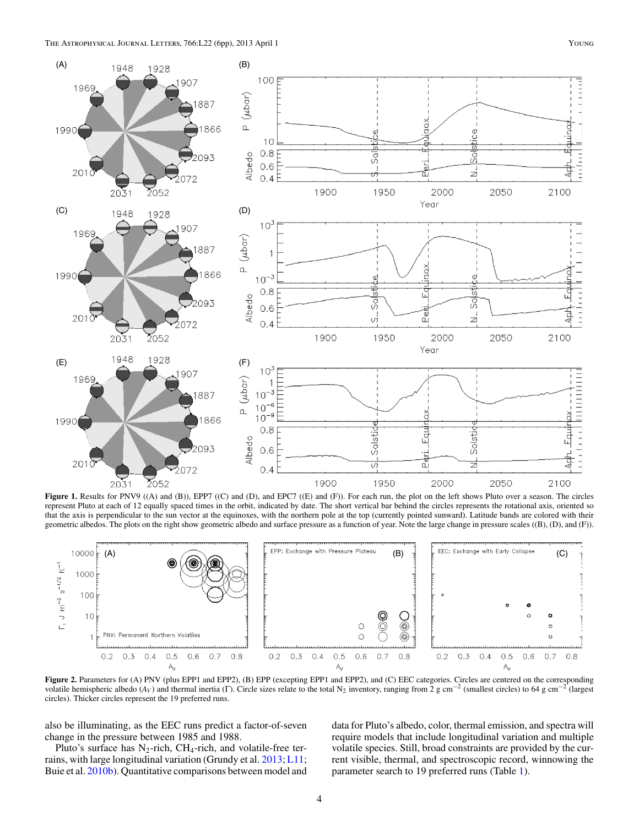<span id="page-3-0"></span>

**Figure 1.** Results for PNV9 ((A) and (B)), EPP7 ((C) and (D), and EPC7 ((E) and (F)). For each run, the plot on the left shows Pluto over a season. The circles represent Pluto at each of 12 equally spaced times in the orbit, indicated by date. The short vertical bar behind the circles represents the rotational axis, oriented so that the axis is perpendicular to the sun vector at the equinoxes, with the northern pole at the top (currently pointed sunward). Latitude bands are colored with their geometric albedos. The plots on the right show geometric albedo and surface pressure as a function of year. Note the large change in pressure scales ((B), (D), and (F)).



Figure 2. Parameters for (A) PNV (plus EPP1 and EPP2), (B) EPP (excepting EPP1 and EPP2), and (C) EEC categories. Circles are centered on the corresponding volatile hemispheric albedo ( $A_V$ ) and thermal inertia (Γ). Circle sizes relate to the total N<sub>2</sub> inventory, ranging from 2 g cm<sup>-2</sup> (smallest circles) to 64 g cm<sup>-2</sup> (largest circles). Thicker circles represent the 19 preferred runs.

also be illuminating, as the EEC runs predict a factor-of-seven change in the pressure between 1985 and 1988.

Pluto's surface has  $N_2$ -rich, CH<sub>4</sub>-rich, and volatile-free terrains, with large longitudinal variation (Grundy et al. [2013;](#page-5-0) [L11;](#page-5-0) Buie et al. [2010b\)](#page-5-0). Quantitative comparisons between model and

data for Pluto's albedo, color, thermal emission, and spectra will require models that include longitudinal variation and multiple volatile species. Still, broad constraints are provided by the current visible, thermal, and spectroscopic record, winnowing the parameter search to 19 preferred runs (Table [1\)](#page-2-0).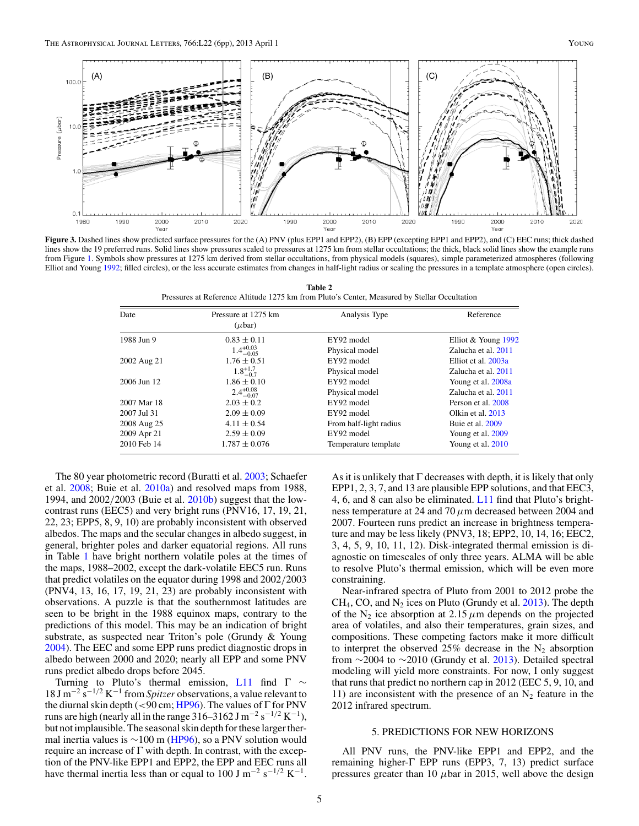<span id="page-4-0"></span>

**Figure 3.** Dashed lines show predicted surface pressures for the (A) PNV (plus EPP1 and EPP2), (B) EPP (excepting EPP1 and EPP2), and (C) EEC runs; thick dashed lines show the 19 preferred runs. Solid lines show pressures scaled to pressures at 1275 km from stellar occultations; the thick, black solid lines show the example runs from Figure [1.](#page-3-0) Symbols show pressures at 1275 km derived from stellar occultations, from physical models (squares), simple parameterized atmospheres (following Elliot and Young [1992;](#page-5-0) filled circles), or the less accurate estimates from changes in half-light radius or scaling the pressures in a template atmosphere (open circles).

| Table 2                                                                                      |
|----------------------------------------------------------------------------------------------|
| Pressures at Reference Altitude 1275 km from Pluto's Center, Measured by Stellar Occultation |

| Date        | Pressure at 1275 km<br>$(\mu bar)$ | Analysis Type          | Reference           |  |
|-------------|------------------------------------|------------------------|---------------------|--|
| 1988 Jun 9  | $0.83 \pm 0.11$                    | EY92 model             | Elliot & Young 1992 |  |
|             | $1.4^{+0.03}_{-0.05}$              | Physical model         | Zalucha et al. 2011 |  |
| 2002 Aug 21 | $1.76 \pm 0.51$                    | EY92 model             | Elliot et al. 2003a |  |
|             | $1.8^{+1.7}_{-0.7}$                | Physical model         | Zalucha et al. 2011 |  |
| 2006 Jun 12 | $1.86 \pm 0.10$                    | EY92 model             | Young et al. 2008a  |  |
|             | $2.4^{+0.08}_{-0.07}$              | Physical model         | Zalucha et al. 2011 |  |
| 2007 Mar 18 | $2.03 \pm 0.2$                     | EY92 model             | Person et al. 2008  |  |
| 2007 Jul 31 | $2.09 \pm 0.09$                    | EY92 model             | Olkin et al. 2013   |  |
| 2008 Aug 25 | $4.11 \pm 0.54$                    | From half-light radius | Buie et al. 2009    |  |
| 2009 Apr 21 | $2.59 \pm 0.09$                    | EY92 model             | Young et al. 2009   |  |
| 2010 Feb 14 | $1.787 \pm 0.076$                  | Temperature template   | Young et al. 2010   |  |

The 80 year photometric record (Buratti et al. [2003;](#page-5-0) Schaefer et al. [2008;](#page-5-0) Buie et al. [2010a\)](#page-5-0) and resolved maps from 1988, 1994, and 2002*/*2003 (Buie et al. [2010b\)](#page-5-0) suggest that the lowcontrast runs (EEC5) and very bright runs (PNV16, 17, 19, 21, 22, 23; EPP5, 8, 9, 10) are probably inconsistent with observed albedos. The maps and the secular changes in albedo suggest, in general, brighter poles and darker equatorial regions. All runs in Table [1](#page-2-0) have bright northern volatile poles at the times of the maps, 1988–2002, except the dark-volatile EEC5 run. Runs that predict volatiles on the equator during 1998 and 2002*/*2003 (PNV4, 13, 16, 17, 19, 21, 23) are probably inconsistent with observations. A puzzle is that the southernmost latitudes are seen to be bright in the 1988 equinox maps, contrary to the predictions of this model. This may be an indication of bright substrate, as suspected near Triton's pole (Grundy & Young [2004\)](#page-5-0). The EEC and some EPP runs predict diagnostic drops in albedo between 2000 and 2020; nearly all EPP and some PNV runs predict albedo drops before 2045.

Turning to Pluto's thermal emission, [L11](#page-5-0) find  $\Gamma \sim$ 18 J m−<sup>2</sup> s−1*/*<sup>2</sup> K−<sup>1</sup> from *Spitzer* observations, a value relevant to the diurnal skin depth (*<*90 cm; [HP96\)](#page-5-0). The values of Γ for PNV runs are high (nearly all in the range 316–3162 J m<sup>-2</sup> s<sup>-1/2</sup> K<sup>-1</sup>), but not implausible. The seasonal skin depth for these larger thermal inertia values is  $\sim$ 100 m [\(HP96\)](#page-5-0), so a PNV solution would require an increase of  $\Gamma$  with depth. In contrast, with the exception of the PNV-like EPP1 and EPP2, the EPP and EEC runs all have thermal inertia less than or equal to 100 J m−<sup>2</sup> s−1*/*<sup>2</sup> K−1.

As it is unlikely that  $\Gamma$  decreases with depth, it is likely that only EPP1, 2, 3, 7, and 13 are plausible EPP solutions, and that EEC3, 4, 6, and 8 can also be eliminated. [L11](#page-5-0) find that Pluto's brightness temperature at 24 and 70*μ*m decreased between 2004 and 2007. Fourteen runs predict an increase in brightness temperature and may be less likely (PNV3, 18; EPP2, 10, 14, 16; EEC2, 3, 4, 5, 9, 10, 11, 12). Disk-integrated thermal emission is diagnostic on timescales of only three years. ALMA will be able to resolve Pluto's thermal emission, which will be even more constraining.

Near-infrared spectra of Pluto from 2001 to 2012 probe the  $CH_4$ , CO, and N<sub>2</sub> ices on Pluto (Grundy et al.  $2013$ ). The depth of the  $N_2$  ice absorption at 2.15  $\mu$ m depends on the projected area of volatiles, and also their temperatures, grain sizes, and compositions. These competing factors make it more difficult to interpret the observed 25% decrease in the  $N_2$  absorption from  $\sim$ 2004 to  $\sim$ 2010 (Grundy et al. [2013\)](#page-5-0). Detailed spectral modeling will yield more constraints. For now, I only suggest that runs that predict no northern cap in 2012 (EEC 5, 9, 10, and 11) are inconsistent with the presence of an  $N_2$  feature in the 2012 infrared spectrum.

### 5. PREDICTIONS FOR NEW HORIZONS

All PNV runs, the PNV-like EPP1 and EPP2, and the remaining higher-Γ EPP runs (EPP3, 7, 13) predict surface pressures greater than 10  $\mu$ bar in 2015, well above the design